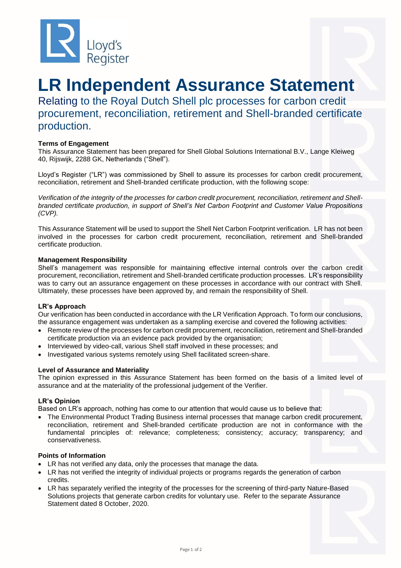

# **LR Independent Assurance Statement**

Relating to the Royal Dutch Shell plc processes for carbon credit procurement, reconciliation, retirement and Shell-branded certificate production.

## **Terms of Engagement**

This Assurance Statement has been prepared for Shell Global Solutions International B.V., Lange Kleiweg 40, Rijswijk, 2288 GK, Netherlands ("Shell").

Lloyd's Register ("LR") was commissioned by Shell to assure its processes for carbon credit procurement, reconciliation, retirement and Shell-branded certificate production, with the following scope:

*Verification of the integrity of the processes for carbon credit procurement, reconciliation, retirement and Shellbranded certificate production, in support of Shell's Net Carbon Footprint and Customer Value Propositions (CVP).*

This Assurance Statement will be used to support the Shell Net Carbon Footprint verification. LR has not been involved in the processes for carbon credit procurement, reconciliation, retirement and Shell-branded certificate production.

### **Management Responsibility**

Shell's management was responsible for maintaining effective internal controls over the carbon credit procurement, reconciliation, retirement and Shell-branded certificate production processes. LR's responsibility was to carry out an assurance engagement on these processes in accordance with our contract with Shell. Ultimately, these processes have been approved by, and remain the responsibility of Shell.

### **LR's Approach**

Our verification has been conducted in accordance with the LR Verification Approach. To form our conclusions, the assurance engagement was undertaken as a sampling exercise and covered the following activities:

- Remote review of the processes for carbon credit procurement, reconciliation, retirement and Shell-branded certificate production via an evidence pack provided by the organisation;
- Interviewed by video-call, various Shell staff involved in these processes; and
- Investigated various systems remotely using Shell facilitated screen-share.

### **Level of Assurance and Materiality**

The opinion expressed in this Assurance Statement has been formed on the basis of a limited level of assurance and at the materiality of the professional judgement of the Verifier.

### **LR's Opinion**

Based on LR's approach, nothing has come to our attention that would cause us to believe that:

• The Environmental Product Trading Business internal processes that manage carbon credit procurement, reconciliation, retirement and Shell-branded certificate production are not in conformance with the fundamental principles of: relevance; completeness; consistency; accuracy; transparency; and conservativeness.

### **Points of Information**

- LR has not verified any data, only the processes that manage the data.
- LR has not verified the integrity of individual projects or programs regards the generation of carbon credits.
- LR has separately verified the integrity of the processes for the screening of third-party Nature-Based Solutions projects that generate carbon credits for voluntary use. Refer to the separate Assurance Statement dated 8 October, 2020.